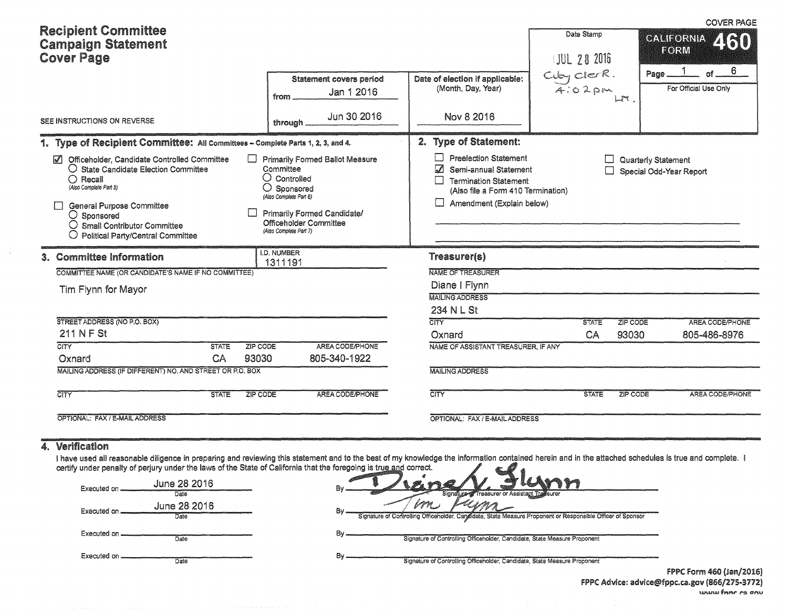| <b>Recipient Committee</b><br><b>Campaign Statement</b><br><b>Cover Page</b> |                                                                                                                                                                                                                                                                                                        |              |                                                                                             |                                                                                                              |                                                                                                                                                                                      | Date Stamp<br>JUL 28 2016    |                   | <b>COVER PAGE</b><br>GALIFORNIA 450<br>FORM                                                                 |  |  |  |
|------------------------------------------------------------------------------|--------------------------------------------------------------------------------------------------------------------------------------------------------------------------------------------------------------------------------------------------------------------------------------------------------|--------------|---------------------------------------------------------------------------------------------|--------------------------------------------------------------------------------------------------------------|--------------------------------------------------------------------------------------------------------------------------------------------------------------------------------------|------------------------------|-------------------|-------------------------------------------------------------------------------------------------------------|--|--|--|
|                                                                              |                                                                                                                                                                                                                                                                                                        |              | from                                                                                        | <b>Statement covers period</b><br>Jan 1 2016                                                                 | Date of election if applicable:<br>(Month, Day, Year)                                                                                                                                | $C_4b_7c1erR$ .<br>$A:02$ pm | Page.<br>LT       | 6<br>of<br>For Official Use Only                                                                            |  |  |  |
|                                                                              | SEE INSTRUCTIONS ON REVERSE                                                                                                                                                                                                                                                                            |              | through                                                                                     | Jun 30 2016                                                                                                  | Nov 8 2016                                                                                                                                                                           |                              |                   |                                                                                                             |  |  |  |
|                                                                              | 1. Type of Recipient Committee: All Committees - Complete Parts 1, 2, 3, and 4.                                                                                                                                                                                                                        |              |                                                                                             |                                                                                                              | 2. Type of Statement:                                                                                                                                                                |                              |                   |                                                                                                             |  |  |  |
|                                                                              | Officeholder, Candidate Controlled Committee<br>$\blacktriangledown$<br>O State Candidate Election Committee<br>$\bigcirc$ Recall<br>(Also Complete Part 5)<br>General Purpose Committee<br>$\bigcirc$ Sponsored<br>$\bigcirc$ Small Contributor Committee<br><b>Political Party/Central Committee</b> |              | Committee<br>$\bigcirc$ Controlled<br>O<br>(Also Complete Part 6)<br>(Also Complete Part 7) | <b>Primarily Formed Ballot Measure</b><br>Sponsored<br>Primarily Formed Candidate/<br>Officeholder Committee | <b>Preelection Statement</b><br>$\overline{\mathcal{L}}$<br>Semi-annual Statement<br><b>Termination Statement</b><br>(Also file a Form 410 Termination)<br>Amendment (Explain below) |                              |                   |                                                                                                             |  |  |  |
|                                                                              | 3. Committee Information                                                                                                                                                                                                                                                                               |              | <b>I.D. NUMBER</b><br>1311191                                                               |                                                                                                              | <b>Treasurer(s)</b>                                                                                                                                                                  |                              |                   |                                                                                                             |  |  |  |
|                                                                              | COMMITTEE NAME (OR CANDIDATE'S NAME IF NO COMMITTEE)                                                                                                                                                                                                                                                   |              |                                                                                             |                                                                                                              | NAME OF TREASURER                                                                                                                                                                    |                              |                   |                                                                                                             |  |  |  |
|                                                                              | Tim Flynn for Mayor                                                                                                                                                                                                                                                                                    |              |                                                                                             |                                                                                                              | Diane I Flynn                                                                                                                                                                        |                              |                   |                                                                                                             |  |  |  |
|                                                                              |                                                                                                                                                                                                                                                                                                        |              |                                                                                             |                                                                                                              | <b>MAILING ADDRESS</b>                                                                                                                                                               |                              |                   |                                                                                                             |  |  |  |
|                                                                              |                                                                                                                                                                                                                                                                                                        |              |                                                                                             |                                                                                                              | 234 N L St                                                                                                                                                                           |                              |                   |                                                                                                             |  |  |  |
|                                                                              | STREET ADDRESS (NO P.O. BOX)<br>211 N F St                                                                                                                                                                                                                                                             |              |                                                                                             |                                                                                                              | <b>CITY</b><br>Oxnard                                                                                                                                                                | <b>STATE</b><br>CA           | ZIP CODE<br>93030 | Quarterly Statement<br>Special Odd-Year Report<br>AREA CODE/PHONE<br>805-486-8976<br><b>AREA CODE/PHONE</b> |  |  |  |
|                                                                              | CITY                                                                                                                                                                                                                                                                                                   | <b>STATE</b> | ZIP CODE                                                                                    | AREA CODE/PHONE                                                                                              | NAME OF ASSISTANT TREASURER, IF ANY                                                                                                                                                  |                              |                   |                                                                                                             |  |  |  |
|                                                                              | Oxnard                                                                                                                                                                                                                                                                                                 | CA           | 93030                                                                                       | 805-340-1922                                                                                                 |                                                                                                                                                                                      |                              |                   |                                                                                                             |  |  |  |
|                                                                              | MAILING ADDRESS (IF DIFFERENT) NO. AND STREET OR P.O. BOX                                                                                                                                                                                                                                              |              |                                                                                             |                                                                                                              | <b>MAILING ADDRESS</b>                                                                                                                                                               |                              |                   |                                                                                                             |  |  |  |
|                                                                              | <b>CITY</b>                                                                                                                                                                                                                                                                                            | <b>STATE</b> | ZIP CODE                                                                                    | AREA CODE/PHONE                                                                                              | $\overline{\text{CITY}}$                                                                                                                                                             | <b>STATE</b>                 | ZIP CODE          |                                                                                                             |  |  |  |
|                                                                              | OPTIONAL: FAX / E-MAIL ADDRESS                                                                                                                                                                                                                                                                         |              |                                                                                             |                                                                                                              | OPTIONAL: FAX / E-MAIL ADDRESS                                                                                                                                                       |                              |                   |                                                                                                             |  |  |  |

## 4. Verification

I have used all reasonable diligence in preparing and reviewing this statement and to the best of my knowledge the information contained herein and in the attached schedules is true and complete. I certify under penalty of

| June 28 2016<br>Executed on<br>Date   | vne/V<br>ALLAMY<br>Bv<br>Signature or Assistant Transurer                                                   |                           |
|---------------------------------------|-------------------------------------------------------------------------------------------------------------|---------------------------|
| June 28 2016<br>Executed on .<br>Date | Signature of Controlling Officeholder, Candidate, State Measure Proponent or Responsible Officer of Sponsor |                           |
| Executed on<br>Date                   | Bv.<br>Signature of Controlling Officeholder, Candidate, State Measure Proponent                            |                           |
| Executed on.<br>Date                  | Bv<br>Signature of Controlling Officeholder, Candidate, State Measure Proponent                             | <b>EDDC Form AGO (Isr</b> |

FPPC Form 460 (Jan/2016) FPPC Advice: advice@fppc.ca.gov (866/275-3772) uneus form ca onu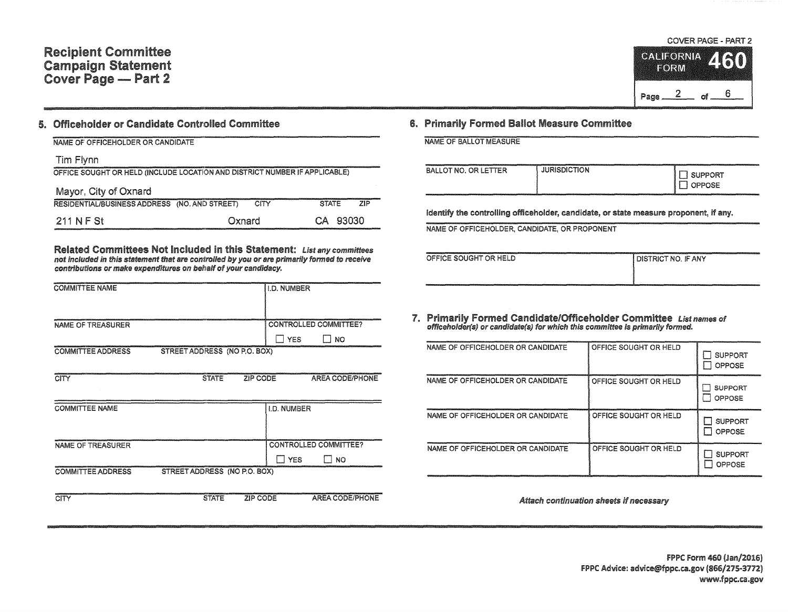## 5. Officeholder or Candidate Controlled Committee

## NAME OF OFFICEHOLDER OR CANDIDATE Tim Flynn OFFICE SOUGHT OR HELD (INCLUDE LOCATION AND DISTRICT NUMBER IF APPLICABLE) Mayor, City of Oxnard RESIDENTIAL/BUSINESS ADDRESS (NO. AND STREET) CITY STATE ZIP 211 NF St Oxnard CA 93030

Related Committees Not Included in this Statement: List any committees not included in this statement that are controlled by you or are primarily formed to receive contributions or make expenditures on behalf of your candidacy.

| <b>COMMITTEE NAME</b>    |                              | <b>I.D. NUMBER</b>           |    |
|--------------------------|------------------------------|------------------------------|----|
| NAME OF TREASURER        |                              | CONTROLLED COMMITTEE?<br>YFS | NO |
| <b>COMMITTEE ADDRESS</b> | STREET ADDRESS (NO P.O. BOX) |                              |    |

| CITY                     | <b>STATE</b>                 | ZIP CODE           | <b>AREA CODE/PHONE</b>  |
|--------------------------|------------------------------|--------------------|-------------------------|
| <b>COMMITTEE NAME</b>    |                              | <b>I.D. NUMBER</b> |                         |
| NAME OF TREASURER        |                              |                    | CONTROLLED COMMITTEE?   |
|                          |                              |                    | <b>YES</b><br><b>NO</b> |
| <b>COMMITTEE ADDRESS</b> | STREET ADDRESS (NO P.O. BOX) |                    |                         |
| CITY                     | <b>STATE</b>                 | ZIP CODE           | <b>AREA CODE/PHONE</b>  |



## 6. Primarily Formed Ballot Measure Committee

| The first the contract of the contract of the contract of the contract of the contract of the contract of the contract of the contract of the contract of the contract of the contract of the contract of the contract of the |  |  |  |
|-------------------------------------------------------------------------------------------------------------------------------------------------------------------------------------------------------------------------------|--|--|--|
| NAME OF BALLOT MEASURE                                                                                                                                                                                                        |  |  |  |
|                                                                                                                                                                                                                               |  |  |  |
|                                                                                                                                                                                                                               |  |  |  |

| <b>BALLOT NO. OR LETTER</b> | itttp://anatomative.com/anatomatica/ittle=itter/anatomatica/itter/anatomatica/itter/anatomatica/itter/anatomatica/itter/anatomatica/itter/anatomatica/itter/anatomatica/itter/anatomatica/itter/anatomatica/itter/anatomatica/<br><b>JURISDICTION</b> | SUPPORT<br>OPPOSE |
|-----------------------------|-------------------------------------------------------------------------------------------------------------------------------------------------------------------------------------------------------------------------------------------------------|-------------------|
|                             |                                                                                                                                                                                                                                                       |                   |

Identify the controlling officeholder, candidate, or state measure proponent, if any.

NAME OF OFFICEHOLDER, CANDIDATE, OR PROPONENT

| OFFICE SOUGHT OR HELD | I DISTRICT NO. IF ANY                                                                                                         |
|-----------------------|-------------------------------------------------------------------------------------------------------------------------------|
|                       |                                                                                                                               |
|                       | u demografija rammini ju u da tarket ja nimen kuni kuni kuni kuni tarket juu u u se tema tarket ja nimen kuni kuni kuni tarke |

7. Primarily Formed Candidate/Officeholder Committee List names of officeholder(s) or candidate(s) for which this committee is primarily formed.

| NAME OF OFFICEHOLDER OR CANDIDATE | OFFICE SOUGHT OR HELD | <b>SUPPORT</b><br>OPPOSE        |
|-----------------------------------|-----------------------|---------------------------------|
| NAME OF OFFICEHOLDER OR CANDIDATE | OFFICE SOUGHT OR HELD | <b>SUPPORT</b><br>OPPOSE        |
| NAME OF OFFICEHOLDER OR CANDIDATE | OFFICE SOUGHT OR HELD | <b>SUPPORT</b><br><b>OPPOSE</b> |
| NAME OF OFFICEHOLDER OR CANDIDATE | OFFICE SOUGHT OR HELD | <b>SUPPORT</b><br><b>OPPOSE</b> |

Attach continuation sheets if necessary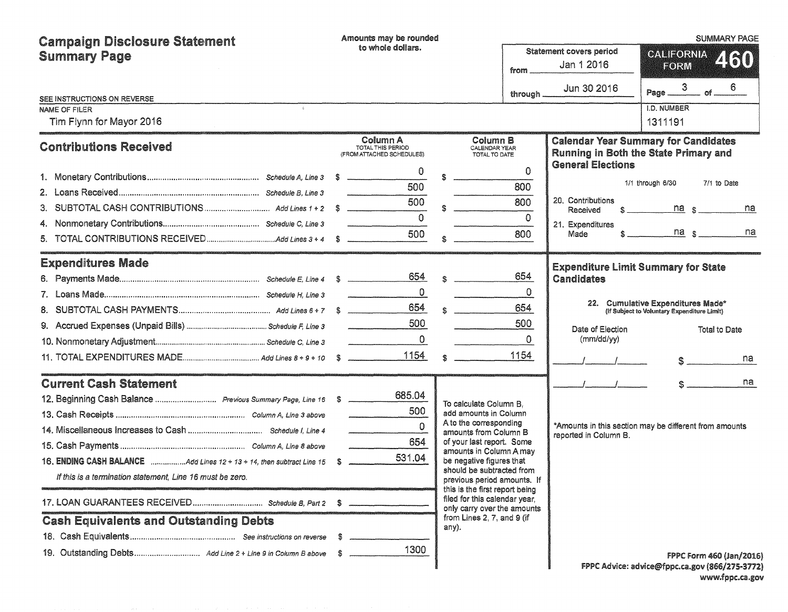| <b>Campaign Disclosure Statement</b>                                     |                                                                     | Amounts may be rounded                                     |                                                          |                                                                                                |              |                                                                                                                         |                                             | <b>SUMMARY PAGE</b>      |     |
|--------------------------------------------------------------------------|---------------------------------------------------------------------|------------------------------------------------------------|----------------------------------------------------------|------------------------------------------------------------------------------------------------|--------------|-------------------------------------------------------------------------------------------------------------------------|---------------------------------------------|--------------------------|-----|
| <b>Summary Page</b>                                                      | to whole dollars.<br>Statement covers period<br>Jan 1 2016<br>from. |                                                            |                                                          |                                                                                                |              |                                                                                                                         | <b>GALIFORNIA</b>                           |                          | 460 |
|                                                                          |                                                                     |                                                            |                                                          |                                                                                                |              |                                                                                                                         | EORM                                        |                          |     |
| SEE INSTRUCTIONS ON REVERSE                                              |                                                                     |                                                            |                                                          |                                                                                                | through      | Jun 30 2016                                                                                                             | Page $\frac{3}{100}$ of $\frac{6}{100}$     |                          |     |
| <b>NAME OF FILER</b>                                                     |                                                                     |                                                            |                                                          |                                                                                                |              |                                                                                                                         | I.D. NUMBER                                 |                          |     |
| Tim Flynn for Mayor 2016                                                 |                                                                     |                                                            |                                                          |                                                                                                |              |                                                                                                                         | 1311191                                     |                          |     |
| <b>Contributions Received</b>                                            |                                                                     | Column A<br>TOTAL THIS PERIOD<br>(FROM ATTACHED SCHEDULES) |                                                          | Column B<br>CALENDAR YEAR<br>TOTAL TO DATE                                                     |              | <b>Calendar Year Summary for Candidates</b><br><b>Running in Both the State Primary and</b><br><b>General Elections</b> |                                             |                          |     |
|                                                                          |                                                                     | 0                                                          |                                                          |                                                                                                | $\Omega$     |                                                                                                                         |                                             |                          |     |
|                                                                          |                                                                     | 500                                                        |                                                          |                                                                                                | 800          |                                                                                                                         | 1/1 through 6/30                            | 7/1 to Date              |     |
|                                                                          |                                                                     | 500                                                        |                                                          |                                                                                                | 800          | 20. Contributions<br>Received                                                                                           |                                             | $na$ s                   | na  |
| 4.                                                                       |                                                                     | $\overline{0}$                                             |                                                          |                                                                                                | $\Omega$     | 21. Expenditures                                                                                                        |                                             |                          |     |
|                                                                          |                                                                     | 500                                                        |                                                          |                                                                                                | 800          | Made                                                                                                                    | $\hat{\mathbf{s}}$                          | $na_s$                   | na  |
| <b>Expenditures Made</b>                                                 |                                                                     |                                                            |                                                          |                                                                                                |              | <b>Expenditure Limit Summary for State</b>                                                                              |                                             |                          |     |
|                                                                          |                                                                     | 654                                                        |                                                          | $\hat{\mathbf{x}}$                                                                             | 654          | <b>Candidates</b>                                                                                                       |                                             |                          |     |
|                                                                          |                                                                     | $\overline{0}$                                             |                                                          |                                                                                                | $\Omega$     |                                                                                                                         |                                             |                          |     |
|                                                                          |                                                                     | 654                                                        |                                                          |                                                                                                | 654          | 22. Cumulative Expenditures Made*                                                                                       | (If Subject to Voluntary Expenditure Limit) |                          |     |
|                                                                          |                                                                     | 500                                                        |                                                          |                                                                                                | 500          | Date of Election                                                                                                        |                                             | <b>Total to Date</b>     |     |
|                                                                          |                                                                     | $\overline{0}$<br>and the state of the state of the        |                                                          |                                                                                                | $\mathbf{0}$ | (mm/dd/yy)                                                                                                              |                                             |                          |     |
|                                                                          |                                                                     | 1154                                                       |                                                          |                                                                                                | 1154         |                                                                                                                         |                                             | $\frac{1}{2}$            | na  |
| <b>Current Cash Statement</b>                                            |                                                                     |                                                            |                                                          |                                                                                                |              |                                                                                                                         |                                             |                          | na  |
|                                                                          |                                                                     | 685.04                                                     |                                                          | To calculate Column B.                                                                         |              |                                                                                                                         |                                             |                          |     |
|                                                                          |                                                                     | 500                                                        |                                                          | add amounts in Column                                                                          |              |                                                                                                                         |                                             |                          |     |
|                                                                          |                                                                     | $\Omega$                                                   |                                                          | A to the corresponding<br>amounts from Column B                                                |              | *Amounts in this section may be different from amounts<br>reported in Column B.                                         |                                             |                          |     |
|                                                                          |                                                                     | 654                                                        |                                                          | of your last report. Some<br>amounts in Column A may                                           |              |                                                                                                                         |                                             |                          |     |
| 16. ENDING CASH BALANCE Add Lines 12 + 13 + 14, then subtract Line 15 \$ |                                                                     | 531.04                                                     |                                                          | be negative figures that                                                                       |              |                                                                                                                         |                                             |                          |     |
| If this is a termination statement, Line 16 must be zero.                |                                                                     |                                                            | should be subtracted from<br>previous period amounts. If |                                                                                                |              |                                                                                                                         |                                             |                          |     |
|                                                                          |                                                                     |                                                            |                                                          | this is the first report being<br>filed for this calendar year,<br>only carry over the amounts |              |                                                                                                                         |                                             |                          |     |
| <b>Cash Equivalents and Outstanding Debts</b>                            |                                                                     |                                                            |                                                          | from Lines 2, 7, and 9 (if<br>any).                                                            |              |                                                                                                                         |                                             |                          |     |
|                                                                          |                                                                     |                                                            |                                                          |                                                                                                |              |                                                                                                                         |                                             |                          |     |
|                                                                          |                                                                     | 1300                                                       |                                                          |                                                                                                |              |                                                                                                                         |                                             | FPPC Form 460 (Jan/2016) |     |
|                                                                          |                                                                     |                                                            |                                                          |                                                                                                |              | FPPC Advice: advice@fppc.ca.gov (866/275-3772)                                                                          |                                             |                          |     |

f PPC: Advice: advice@fppc.ca.gov (866/275-3172) www.fppc.ca.gov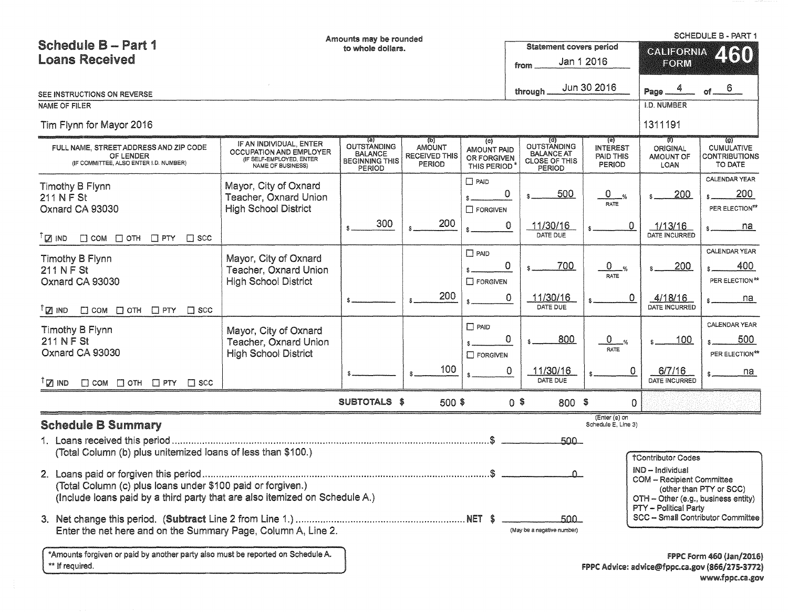|                                                                                               |                                                                                                     | Amounts may be rounded                                                                             |                                                                                     |                                                                         |                                                                                  |                                                      |                                                    | SCHEDULE B - PART 1                                                        |  |
|-----------------------------------------------------------------------------------------------|-----------------------------------------------------------------------------------------------------|----------------------------------------------------------------------------------------------------|-------------------------------------------------------------------------------------|-------------------------------------------------------------------------|----------------------------------------------------------------------------------|------------------------------------------------------|----------------------------------------------------|----------------------------------------------------------------------------|--|
| <b>Schedule B-Part 1</b>                                                                      |                                                                                                     | to whole dollars.                                                                                  |                                                                                     |                                                                         | <b>Statement covers period</b>                                                   |                                                      | <b>CALIFORNIA</b>                                  | 2160                                                                       |  |
| <b>Loans Received</b>                                                                         |                                                                                                     |                                                                                                    |                                                                                     |                                                                         | from                                                                             | Jan 1 2016                                           | FORM                                               |                                                                            |  |
|                                                                                               |                                                                                                     |                                                                                                    |                                                                                     |                                                                         | through                                                                          | Jun 30 2016                                          | Page                                               | 6                                                                          |  |
| SEE INSTRUCTIONS ON REVERSE<br>NAME OF FILER                                                  |                                                                                                     |                                                                                                    |                                                                                     |                                                                         |                                                                                  |                                                      | <b>I.D. NUMBER</b>                                 |                                                                            |  |
| Tim Flynn for Mayor 2016                                                                      |                                                                                                     |                                                                                                    |                                                                                     |                                                                         |                                                                                  |                                                      | 1311191                                            |                                                                            |  |
|                                                                                               |                                                                                                     |                                                                                                    |                                                                                     |                                                                         |                                                                                  |                                                      |                                                    |                                                                            |  |
| FULL NAME, STREET ADDRESS AND ZIP CODE<br>OF LENDER<br>(IF COMMITTEE, ALSO ENTER I.D. NUMBER) | IF AN INDIVIDUAL, ENTER<br>OCCUPATION AND EMPLOYER<br>(IF SELF-EMPLOYED, ENTER<br>NAME OF BUSINESS) | $\overline{\mathbf{a}}$<br>OUTSTANDING<br><b>BALANCE</b><br><b>BEGINNING THIS</b><br><b>PERIOD</b> | $\overline{\mathfrak{b}}$<br><b>AMOUNT</b><br><b>RECEIVED THIS</b><br><b>PERIOD</b> | $\left\{ c\right\}$<br><b>AMOUNT PAID</b><br>OR FORGIVEN<br>THIS PERIOD | (d)<br><b>OUTSTANDING</b><br><b>BALANCE AT</b><br><b>CLOSE OF THIS</b><br>PERIOD | (e)<br><b>INTEREST</b><br>PAID THIS<br><b>PERIOD</b> | (1)<br><b>ORIGINAL</b><br><b>AMOUNT OF</b><br>LOAN | $\overline{a}$<br><b>CUMULATIVE</b><br>CONTRIBUTIONS<br>TO DATE            |  |
| Timothy B Flynn                                                                               | Mayor, City of Oxnard                                                                               |                                                                                                    |                                                                                     | $\Box$ PAID                                                             |                                                                                  |                                                      |                                                    | CALENDAR YEAR                                                              |  |
| 211 N F St                                                                                    | Teacher, Oxnard Union                                                                               |                                                                                                    |                                                                                     |                                                                         | 0<br>500                                                                         | $\mathbf 0$<br>$\frac{9}{6}$<br><b>RATE</b>          | 200                                                | 200                                                                        |  |
| Oxnard CA 93030                                                                               | <b>High School District</b>                                                                         |                                                                                                    |                                                                                     | $\Box$ forgiven                                                         |                                                                                  |                                                      |                                                    | PER ELECTION**                                                             |  |
| <sup>T</sup> <sub>I</sub> IND<br>$\Box$ COM $\Box$ OTH $\Box$ PTY $\Box$ SCC                  |                                                                                                     | 300                                                                                                | 200                                                                                 |                                                                         | 11/30/16<br>0<br>DATE DUE                                                        | 0                                                    | 1/13/16<br>DATE INCURRED                           | na                                                                         |  |
| Timothy B Flynn                                                                               | Mayor, City of Oxnard                                                                               |                                                                                                    |                                                                                     | $\square$ PAID                                                          |                                                                                  |                                                      |                                                    | <b>CALENDAR YEAR</b>                                                       |  |
| 211 N F St                                                                                    | Teacher, Oxnard Union                                                                               |                                                                                                    |                                                                                     |                                                                         | $\Omega$<br>700                                                                  | $\mathbf{0}$<br>$\frac{Q}{2}$                        | 200                                                | 400                                                                        |  |
| Oxnard CA 93030                                                                               | <b>High School District</b>                                                                         |                                                                                                    |                                                                                     | $\Box$ FORGIVEN                                                         |                                                                                  | RATE                                                 |                                                    | PER ELECTION**                                                             |  |
| $\Box$ COM $\Box$ OTH $\Box$ PTY $\Box$ SCC<br>$\sqrt{2}$ IND                                 |                                                                                                     |                                                                                                    | 200                                                                                 |                                                                         | 11/30/16<br>0<br>DATE DUE                                                        | 0.                                                   | 4/18/16<br>DATE INCURRED                           | na                                                                         |  |
| Timothy B Flynn                                                                               | Mayor, City of Oxnard                                                                               |                                                                                                    |                                                                                     | $\Box$ PAID                                                             |                                                                                  |                                                      |                                                    | CALENDAR YEAR                                                              |  |
| 211 N F St                                                                                    | Teacher, Oxnard Union                                                                               |                                                                                                    |                                                                                     |                                                                         | 0<br>800                                                                         | 0                                                    | 100                                                | 500                                                                        |  |
| Oxnard CA 93030                                                                               | <b>High School District</b>                                                                         |                                                                                                    |                                                                                     | $\Box$ FORGIVEN                                                         |                                                                                  | RATE                                                 |                                                    | PER ELECTION**                                                             |  |
| $\Box$ COM $\Box$ OTH $\Box$ PTY $\Box$ SCC<br>$\mathbb{Z}$ ind                               |                                                                                                     |                                                                                                    | 100                                                                                 |                                                                         | 11/30/16<br>0<br>DATE DUE                                                        | 0                                                    | 6/7/16<br>DATE INCURRED                            | na                                                                         |  |
|                                                                                               |                                                                                                     | SUBTOTALS \$                                                                                       | 500 \$                                                                              |                                                                         | $0$ \$<br>800 \$                                                                 | $\Omega$                                             |                                                    |                                                                            |  |
| <b>Schedule B Summary</b>                                                                     |                                                                                                     |                                                                                                    |                                                                                     |                                                                         |                                                                                  | (Enter (e) on<br>Schedule E, Line 3)                 |                                                    |                                                                            |  |
|                                                                                               |                                                                                                     |                                                                                                    |                                                                                     |                                                                         | 500                                                                              |                                                      |                                                    |                                                                            |  |
| (Total Column (b) plus unitemized loans of less than \$100.)                                  |                                                                                                     |                                                                                                    |                                                                                     |                                                                         |                                                                                  |                                                      | <b>†Contributor Codes</b>                          |                                                                            |  |
|                                                                                               |                                                                                                     |                                                                                                    |                                                                                     |                                                                         |                                                                                  |                                                      | IND - Individual                                   |                                                                            |  |
| (Total Column (c) plus loans under \$100 paid or forgiven.)                                   |                                                                                                     |                                                                                                    |                                                                                     |                                                                         |                                                                                  |                                                      | <b>COM - Recipient Committee</b>                   | (other than PTY or SCC)                                                    |  |
| (Include loans paid by a third party that are also itemized on Schedule A.)                   |                                                                                                     |                                                                                                    |                                                                                     |                                                                         |                                                                                  |                                                      | OTH - Other (e.g., business entity)                |                                                                            |  |
|                                                                                               |                                                                                                     |                                                                                                    |                                                                                     |                                                                         | 500 -                                                                            |                                                      | PTY - Political Party                              | SCC - Small Contributor Committee                                          |  |
| Enter the net here and on the Summary Page, Column A, Line 2.                                 |                                                                                                     |                                                                                                    |                                                                                     |                                                                         | (May be a negative number)                                                       |                                                      |                                                    |                                                                            |  |
| *Amounts forgiven or paid by another party also must be reported on Schedule A.               |                                                                                                     |                                                                                                    |                                                                                     |                                                                         |                                                                                  |                                                      |                                                    |                                                                            |  |
| ** If required.                                                                               |                                                                                                     |                                                                                                    |                                                                                     |                                                                         |                                                                                  |                                                      |                                                    | FPPC Form 460 (Jan/2016)<br>FPPC Advice: advice@fppc.ca.gov (866/275-3772) |  |

www.fppc.ca.gov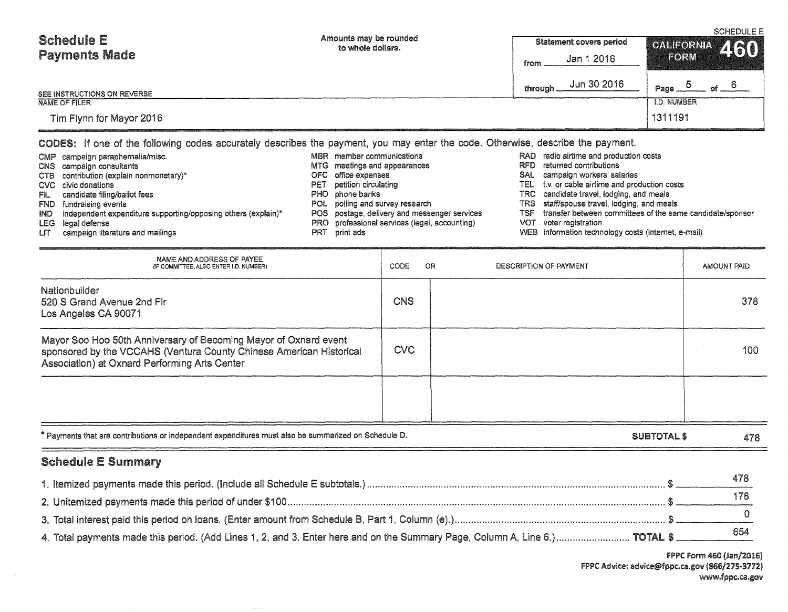| <b>Schedule E</b>           | Amounts may be rounded<br>to whole dollars. | <b>Statement covers period</b> | <b>SCHEDULE E</b><br>CALIFORNIA 460     |  |
|-----------------------------|---------------------------------------------|--------------------------------|-----------------------------------------|--|
| <b>Payments Made</b>        |                                             | Jan 1 2016<br>from.            | <b>EORM</b>                             |  |
| SEE INSTRUCTIONS ON REVERSE |                                             | Jun 30 2016<br>through.        | $\circ$ f $\circ$<br>Page $\frac{0}{2}$ |  |
| NAME OF FILER               | <b>I.D. NUMBER</b>                          |                                |                                         |  |
| Tim Flynn for Mayor 2016    |                                             |                                | 1311191                                 |  |

CODES: If one of the following codes accurately describes the payment, you may enter the code. Otherwise, describe the payment.

| FIL I | CMP campaign paraphernalia/misc.<br>CNS campaign consultants<br>CTB contribution (explain nonmonetary)*<br>CVC civic donations<br>candidate filing/ballot fees<br>FND fundraising events<br>IND independent expenditure supporting/opposing others (explain)*<br>LEG legal defense | PET.<br>PRT | MBR member communications<br>MTG meetings and appearances<br>OFC office expenses<br>petition circulating<br>PHO phone banks<br>POL polling and survey research<br>POS postage, delivery and messenger services<br>PRO professional services (legal, accounting) | RFD.<br>SAL.<br>TSF<br>VOT | RAD radio airtime and production costs<br>returned contributions<br>campaign workers' salaries<br>TEL t.v. or cable airtime and production costs<br>TRC candidate travel, lodging, and meals<br>TRS staff/spouse travel, lodging, and meals<br>transfer between committees of the same candidate/sponsor<br>voter registration<br>WEB information technology costs (internet, e-mail) |
|-------|------------------------------------------------------------------------------------------------------------------------------------------------------------------------------------------------------------------------------------------------------------------------------------|-------------|-----------------------------------------------------------------------------------------------------------------------------------------------------------------------------------------------------------------------------------------------------------------|----------------------------|---------------------------------------------------------------------------------------------------------------------------------------------------------------------------------------------------------------------------------------------------------------------------------------------------------------------------------------------------------------------------------------|
| LIT   | campaign literature and mailings                                                                                                                                                                                                                                                   |             | print ads                                                                                                                                                                                                                                                       |                            |                                                                                                                                                                                                                                                                                                                                                                                       |

| NAME AND ADDRESS OF PAYEE<br>(IF COMMITTEE, ALSO ENTER I.D. NUMBER)                                                                                                                      | CODE       | <b>OR</b> | DESCRIPTION OF PAYMENT |             | <b>AMOUNT PAID</b> |
|------------------------------------------------------------------------------------------------------------------------------------------------------------------------------------------|------------|-----------|------------------------|-------------|--------------------|
| Nationbuilder<br>520 S Grand Avenue 2nd Flr<br>Los Angeles CA 90071                                                                                                                      | <b>CNS</b> |           |                        |             | 378                |
| Mayor Soo Hoo 50th Anniversary of Becoming Mayor of Oxnard event<br>sponsored by the VCCAHS (Ventura County Chinese American Historical<br>Association) at Oxnard Performing Arts Center | <b>CVC</b> |           |                        |             | 100                |
|                                                                                                                                                                                          |            |           |                        |             |                    |
| * Payments that are contributions or independent expenditures must also be summarized on Schedule D.                                                                                     |            |           |                        | SUBTOTAL \$ | 478                |
| <b>Schedule E Summary</b>                                                                                                                                                                |            |           |                        |             |                    |
|                                                                                                                                                                                          |            |           |                        |             | 478                |
|                                                                                                                                                                                          |            |           |                        |             | 176                |
|                                                                                                                                                                                          |            |           |                        |             |                    |

4. Total payments made this period. (Add Lines 1, 2, and 3. Enter here and on the Summary Page, Column A, Line 6.)…………………………… TOTAL \$ \_\_\_\_\_\_\_\_\_\_\_654